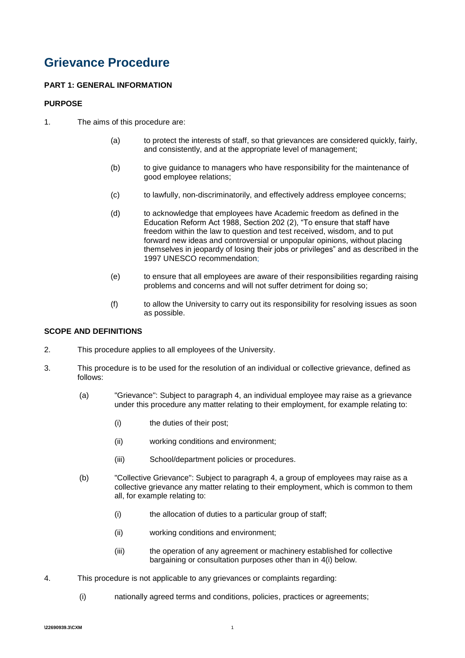# **Grievance Procedure**

## **PART 1: GENERAL INFORMATION**

## **PURPOSE**

- 1. The aims of this procedure are:
	- (a) to protect the interests of staff, so that grievances are considered quickly, fairly, and consistently, and at the appropriate level of management;
	- (b) to give guidance to managers who have responsibility for the maintenance of good employee relations;
	- (c) to lawfully, non-discriminatorily, and effectively address employee concerns;
	- (d) to acknowledge that employees have Academic freedom as defined in the Education Reform Act 1988, Section 202 (2), "To ensure that staff have freedom within the law to question and test received, wisdom, and to put forward new ideas and controversial or unpopular opinions, without placing themselves in jeopardy of losing their jobs or privileges" and as described in the 1997 UNESCO recommendation;
	- (e) to ensure that all employees are aware of their responsibilities regarding raising problems and concerns and will not suffer detriment for doing so;
	- (f) to allow the University to carry out its responsibility for resolving issues as soon as possible.

### **SCOPE AND DEFINITIONS**

- 2. This procedure applies to all employees of the University.
- 3. This procedure is to be used for the resolution of an individual or collective grievance, defined as follows:
	- (a) "Grievance": Subject to paragraph 4, an individual employee may raise as a grievance under this procedure any matter relating to their employment, for example relating to:
		- (i) the duties of their post;
		- (ii) working conditions and environment;
		- (iii) School/department policies or procedures.
	- (b) "Collective Grievance": Subject to paragraph 4, a group of employees may raise as a collective grievance any matter relating to their employment, which is common to them all, for example relating to:
		- (i) the allocation of duties to a particular group of staff;
		- (ii) working conditions and environment;
		- (iii) the operation of any agreement or machinery established for collective bargaining or consultation purposes other than in 4(i) below.
- 4. This procedure is not applicable to any grievances or complaints regarding:
	- (i) nationally agreed terms and conditions, policies, practices or agreements;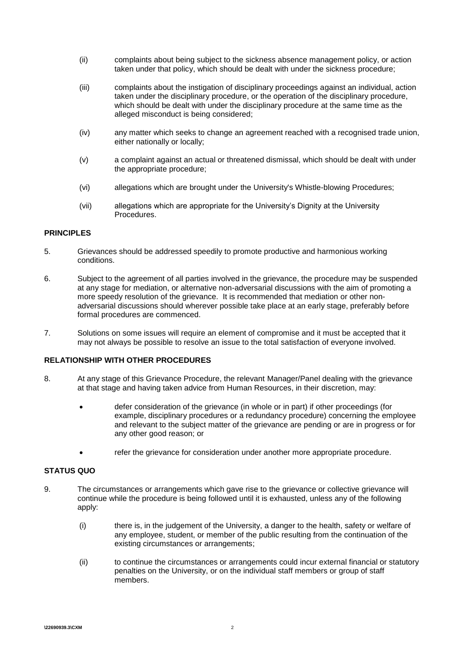- (ii) complaints about being subject to the sickness absence management policy, or action taken under that policy, which should be dealt with under the sickness procedure;
- (iii) complaints about the instigation of disciplinary proceedings against an individual, action taken under the disciplinary procedure, or the operation of the disciplinary procedure, which should be dealt with under the disciplinary procedure at the same time as the alleged misconduct is being considered;
- (iv) any matter which seeks to change an agreement reached with a recognised trade union, either nationally or locally;
- (v) a complaint against an actual or threatened dismissal, which should be dealt with under the appropriate procedure;
- (vi) allegations which are brought under the University's Whistle-blowing Procedures;
- (vii) allegations which are appropriate for the University"s Dignity at the University Procedures.

#### **PRINCIPLES**

- 5. Grievances should be addressed speedily to promote productive and harmonious working conditions.
- 6. Subject to the agreement of all parties involved in the grievance, the procedure may be suspended at any stage for mediation, or alternative non-adversarial discussions with the aim of promoting a more speedy resolution of the grievance. It is recommended that mediation or other nonadversarial discussions should wherever possible take place at an early stage, preferably before formal procedures are commenced.
- 7. Solutions on some issues will require an element of compromise and it must be accepted that it may not always be possible to resolve an issue to the total satisfaction of everyone involved.

#### **RELATIONSHIP WITH OTHER PROCEDURES**

- 8. At any stage of this Grievance Procedure, the relevant Manager/Panel dealing with the grievance at that stage and having taken advice from Human Resources, in their discretion, may:
	- defer consideration of the grievance (in whole or in part) if other proceedings (for example, disciplinary procedures or a redundancy procedure) concerning the employee and relevant to the subject matter of the grievance are pending or are in progress or for any other good reason; or
	- refer the grievance for consideration under another more appropriate procedure.

#### **STATUS QUO**

- 9. The circumstances or arrangements which gave rise to the grievance or collective grievance will continue while the procedure is being followed until it is exhausted, unless any of the following apply:
	- (i) there is, in the judgement of the University, a danger to the health, safety or welfare of any employee, student, or member of the public resulting from the continuation of the existing circumstances or arrangements;
	- (ii) to continue the circumstances or arrangements could incur external financial or statutory penalties on the University, or on the individual staff members or group of staff .<br>members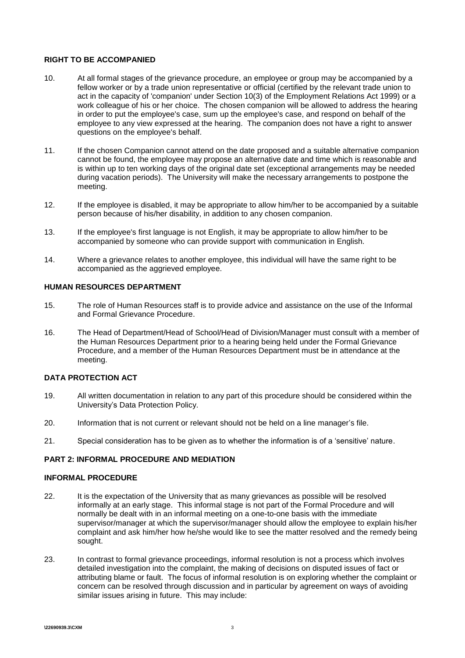#### **RIGHT TO BE ACCOMPANIED**

- 10. At all formal stages of the grievance procedure, an employee or group may be accompanied by a fellow worker or by a trade union representative or official (certified by the relevant trade union to act in the capacity of 'companion' under Section 10(3) of the Employment Relations Act 1999) or a work colleague of his or her choice. The chosen companion will be allowed to address the hearing in order to put the employee's case, sum up the employee's case, and respond on behalf of the employee to any view expressed at the hearing. The companion does not have a right to answer questions on the employee's behalf.
- 11. If the chosen Companion cannot attend on the date proposed and a suitable alternative companion cannot be found, the employee may propose an alternative date and time which is reasonable and is within up to ten working days of the original date set (exceptional arrangements may be needed during vacation periods). The University will make the necessary arrangements to postpone the meeting.
- 12. If the employee is disabled, it may be appropriate to allow him/her to be accompanied by a suitable person because of his/her disability, in addition to any chosen companion.
- 13. If the employee's first language is not English, it may be appropriate to allow him/her to be accompanied by someone who can provide support with communication in English.
- 14. Where a grievance relates to another employee, this individual will have the same right to be accompanied as the aggrieved employee.

### **HUMAN RESOURCES DEPARTMENT**

- 15. The role of Human Resources staff is to provide advice and assistance on the use of the Informal and Formal Grievance Procedure.
- 16. The Head of Department/Head of School/Head of Division/Manager must consult with a member of the Human Resources Department prior to a hearing being held under the Formal Grievance Procedure, and a member of the Human Resources Department must be in attendance at the meeting.

## **DATA PROTECTION ACT**

- 19. All written documentation in relation to any part of this procedure should be considered within the University"s Data Protection Policy.
- 20. Information that is not current or relevant should not be held on a line manager's file.
- 21. Special consideration has to be given as to whether the information is of a "sensitive" nature.

## **PART 2: INFORMAL PROCEDURE AND MEDIATION**

#### **INFORMAL PROCEDURE**

- 22. It is the expectation of the University that as many grievances as possible will be resolved informally at an early stage. This informal stage is not part of the Formal Procedure and will normally be dealt with in an informal meeting on a one-to-one basis with the immediate supervisor/manager at which the supervisor/manager should allow the employee to explain his/her complaint and ask him/her how he/she would like to see the matter resolved and the remedy being sought.
- 23. In contrast to formal grievance proceedings, informal resolution is not a process which involves detailed investigation into the complaint, the making of decisions on disputed issues of fact or attributing blame or fault. The focus of informal resolution is on exploring whether the complaint or concern can be resolved through discussion and in particular by agreement on ways of avoiding similar issues arising in future. This may include: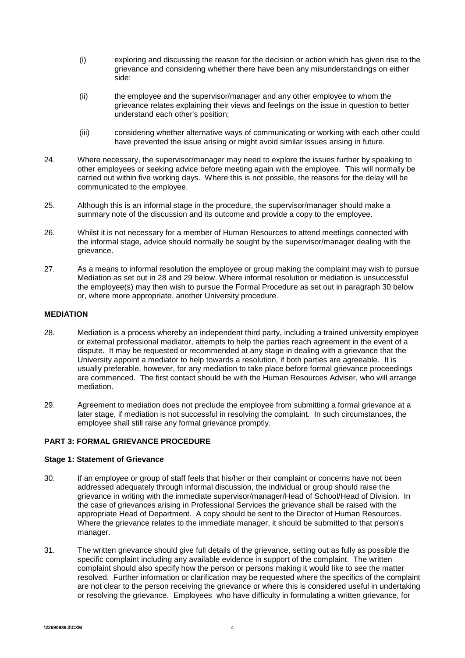- (i) exploring and discussing the reason for the decision or action which has given rise to the grievance and considering whether there have been any misunderstandings on either side;
- (ii) the employee and the supervisor/manager and any other employee to whom the grievance relates explaining their views and feelings on the issue in question to better understand each other's position;
- (iii) considering whether alternative ways of communicating or working with each other could have prevented the issue arising or might avoid similar issues arising in future.
- 24. Where necessary, the supervisor/manager may need to explore the issues further by speaking to other employees or seeking advice before meeting again with the employee. This will normally be carried out within five working days. Where this is not possible, the reasons for the delay will be communicated to the employee.
- 25. Although this is an informal stage in the procedure, the supervisor/manager should make a summary note of the discussion and its outcome and provide a copy to the employee.
- 26. Whilst it is not necessary for a member of Human Resources to attend meetings connected with the informal stage, advice should normally be sought by the supervisor/manager dealing with the grievance.
- 27. As a means to informal resolution the employee or group making the complaint may wish to pursue Mediation as set out in 28 and 29 below. Where informal resolution or mediation is unsuccessful the employee(s) may then wish to pursue the Formal Procedure as set out in paragraph 30 below or, where more appropriate, another University procedure.

## **MEDIATION**

- 28. Mediation is a process whereby an independent third party, including a trained university employee or external professional mediator, attempts to help the parties reach agreement in the event of a dispute. It may be requested or recommended at any stage in dealing with a grievance that the University appoint a mediator to help towards a resolution, if both parties are agreeable. It is usually preferable, however, for any mediation to take place before formal grievance proceedings are commenced. The first contact should be with the Human Resources Adviser, who will arrange mediation.
- 29. Agreement to mediation does not preclude the employee from submitting a formal grievance at a later stage, if mediation is not successful in resolving the complaint. In such circumstances, the employee shall still raise any formal grievance promptly.

## **PART 3: FORMAL GRIEVANCE PROCEDURE**

#### **Stage 1: Statement of Grievance**

- 30. If an employee or group of staff feels that his/her or their complaint or concerns have not been addressed adequately through informal discussion, the individual or group should raise the grievance in writing with the immediate supervisor/manager/Head of School/Head of Division. In the case of grievances arising in Professional Services the grievance shall be raised with the appropriate Head of Department. A copy should be sent to the Director of Human Resources. Where the grievance relates to the immediate manager, it should be submitted to that person's manager.
- 31. The written grievance should give full details of the grievance, setting out as fully as possible the specific complaint including any available evidence in support of the complaint. The written complaint should also specify how the person or persons making it would like to see the matter resolved. Further information or clarification may be requested where the specifics of the complaint are not clear to the person receiving the grievance or where this is considered useful in undertaking or resolving the grievance. Employees who have difficulty in formulating a written grievance, for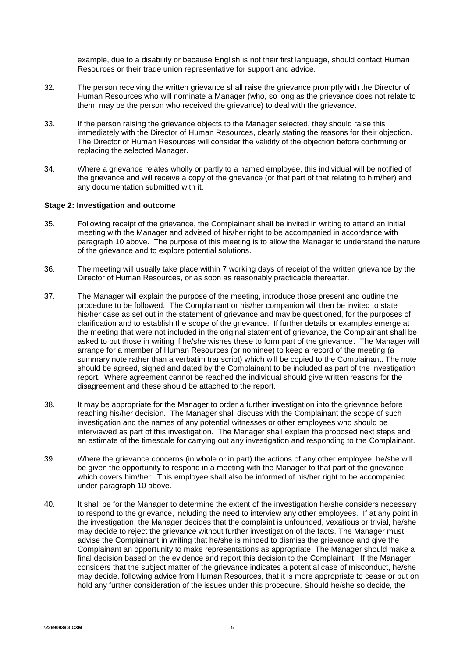example, due to a disability or because English is not their first language, should contact Human Resources or their trade union representative for support and advice.

- 32. The person receiving the written grievance shall raise the grievance promptly with the Director of Human Resources who will nominate a Manager (who, so long as the grievance does not relate to them, may be the person who received the grievance) to deal with the grievance.
- 33. If the person raising the grievance objects to the Manager selected, they should raise this immediately with the Director of Human Resources, clearly stating the reasons for their objection. The Director of Human Resources will consider the validity of the objection before confirming or replacing the selected Manager.
- 34. Where a grievance relates wholly or partly to a named employee, this individual will be notified of the grievance and will receive a copy of the grievance (or that part of that relating to him/her) and any documentation submitted with it.

#### **Stage 2: Investigation and outcome**

- 35. Following receipt of the grievance, the Complainant shall be invited in writing to attend an initial meeting with the Manager and advised of his/her right to be accompanied in accordance with paragraph 10 above. The purpose of this meeting is to allow the Manager to understand the nature of the grievance and to explore potential solutions.
- 36. The meeting will usually take place within 7 working days of receipt of the written grievance by the Director of Human Resources, or as soon as reasonably practicable thereafter.
- 37. The Manager will explain the purpose of the meeting, introduce those present and outline the procedure to be followed. The Complainant or his/her companion will then be invited to state his/her case as set out in the statement of grievance and may be questioned, for the purposes of clarification and to establish the scope of the grievance. If further details or examples emerge at the meeting that were not included in the original statement of grievance, the Complainant shall be asked to put those in writing if he/she wishes these to form part of the grievance. The Manager will arrange for a member of Human Resources (or nominee) to keep a record of the meeting (a summary note rather than a verbatim transcript) which will be copied to the Complainant. The note should be agreed, signed and dated by the Complainant to be included as part of the investigation report. Where agreement cannot be reached the individual should give written reasons for the disagreement and these should be attached to the report.
- 38. It may be appropriate for the Manager to order a further investigation into the grievance before reaching his/her decision. The Manager shall discuss with the Complainant the scope of such investigation and the names of any potential witnesses or other employees who should be interviewed as part of this investigation. The Manager shall explain the proposed next steps and an estimate of the timescale for carrying out any investigation and responding to the Complainant.
- 39. Where the grievance concerns (in whole or in part) the actions of any other employee, he/she will be given the opportunity to respond in a meeting with the Manager to that part of the grievance which covers him/her. This employee shall also be informed of his/her right to be accompanied under paragraph 10 above.
- 40. It shall be for the Manager to determine the extent of the investigation he/she considers necessary to respond to the grievance, including the need to interview any other employees. If at any point in the investigation, the Manager decides that the complaint is unfounded, vexatious or trivial, he/she may decide to reject the grievance without further investigation of the facts. The Manager must advise the Complainant in writing that he/she is minded to dismiss the grievance and give the Complainant an opportunity to make representations as appropriate. The Manager should make a final decision based on the evidence and report this decision to the Complainant. If the Manager considers that the subject matter of the grievance indicates a potential case of misconduct, he/she may decide, following advice from Human Resources, that it is more appropriate to cease or put on hold any further consideration of the issues under this procedure. Should he/she so decide, the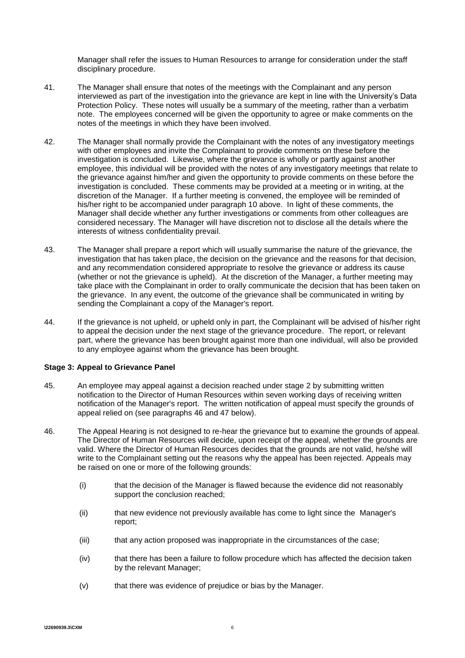Manager shall refer the issues to Human Resources to arrange for consideration under the staff disciplinary procedure.

- 41. The Manager shall ensure that notes of the meetings with the Complainant and any person interviewed as part of the investigation into the grievance are kept in line with the University"s Data Protection Policy. These notes will usually be a summary of the meeting, rather than a verbatim note. The employees concerned will be given the opportunity to agree or make comments on the notes of the meetings in which they have been involved.
- 42. The Manager shall normally provide the Complainant with the notes of any investigatory meetings with other employees and invite the Complainant to provide comments on these before the investigation is concluded. Likewise, where the grievance is wholly or partly against another employee, this individual will be provided with the notes of any investigatory meetings that relate to the grievance against him/her and given the opportunity to provide comments on these before the investigation is concluded. These comments may be provided at a meeting or in writing, at the discretion of the Manager. If a further meeting is convened, the employee will be reminded of his/her right to be accompanied under paragraph 10 above. In light of these comments, the Manager shall decide whether any further investigations or comments from other colleagues are considered necessary. The Manager will have discretion not to disclose all the details where the interests of witness confidentiality prevail.
- 43. The Manager shall prepare a report which will usually summarise the nature of the grievance, the investigation that has taken place, the decision on the grievance and the reasons for that decision, and any recommendation considered appropriate to resolve the grievance or address its cause (whether or not the grievance is upheld). At the discretion of the Manager, a further meeting may take place with the Complainant in order to orally communicate the decision that has been taken on the grievance. In any event, the outcome of the grievance shall be communicated in writing by sending the Complainant a copy of the Manager's report.
- 44. If the grievance is not upheld, or upheld only in part, the Complainant will be advised of his/her right to appeal the decision under the next stage of the grievance procedure. The report, or relevant part, where the grievance has been brought against more than one individual, will also be provided to any employee against whom the grievance has been brought.

#### **Stage 3: Appeal to Grievance Panel**

- 45. An employee may appeal against a decision reached under stage 2 by submitting written notification to the Director of Human Resources within seven working days of receiving written notification of the Manager's report. The written notification of appeal must specify the grounds of appeal relied on (see paragraphs 46 and 47 below).
- 46. The Appeal Hearing is not designed to re-hear the grievance but to examine the grounds of appeal. The Director of Human Resources will decide, upon receipt of the appeal, whether the grounds are valid. Where the Director of Human Resources decides that the grounds are not valid, he/she will write to the Complainant setting out the reasons why the appeal has been rejected. Appeals may be raised on one or more of the following grounds:
	- (i) that the decision of the Manager is flawed because the evidence did not reasonably support the conclusion reached;
	- (ii) that new evidence not previously available has come to light since the Manager's report;
	- (iii) that any action proposed was inappropriate in the circumstances of the case;
	- (iv) that there has been a failure to follow procedure which has affected the decision taken by the relevant Manager;
	- (v) that there was evidence of prejudice or bias by the Manager.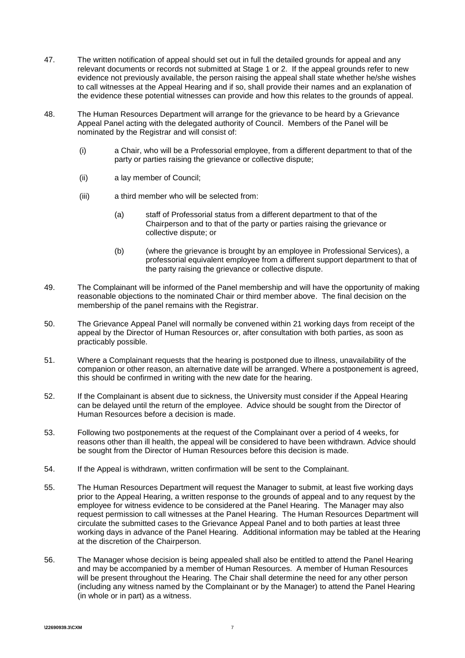- 47. The written notification of appeal should set out in full the detailed grounds for appeal and any relevant documents or records not submitted at Stage 1 or 2. If the appeal grounds refer to new evidence not previously available, the person raising the appeal shall state whether he/she wishes to call witnesses at the Appeal Hearing and if so, shall provide their names and an explanation of the evidence these potential witnesses can provide and how this relates to the grounds of appeal.
- 48. The Human Resources Department will arrange for the grievance to be heard by a Grievance Appeal Panel acting with the delegated authority of Council. Members of the Panel will be nominated by the Registrar and will consist of:
	- (i) a Chair, who will be a Professorial employee, from a different department to that of the party or parties raising the grievance or collective dispute;
	- (ii) a lay member of Council;
	- (iii) a third member who will be selected from:
		- (a) staff of Professorial status from a different department to that of the Chairperson and to that of the party or parties raising the grievance or collective dispute; or
		- (b) (where the grievance is brought by an employee in Professional Services), a professorial equivalent employee from a different support department to that of the party raising the grievance or collective dispute.
- 49. The Complainant will be informed of the Panel membership and will have the opportunity of making reasonable objections to the nominated Chair or third member above. The final decision on the membership of the panel remains with the Registrar.
- 50. The Grievance Appeal Panel will normally be convened within 21 working days from receipt of the appeal by the Director of Human Resources or, after consultation with both parties, as soon as practicably possible.
- 51. Where a Complainant requests that the hearing is postponed due to illness, unavailability of the companion or other reason, an alternative date will be arranged. Where a postponement is agreed, this should be confirmed in writing with the new date for the hearing.
- 52. If the Complainant is absent due to sickness, the University must consider if the Appeal Hearing can be delayed until the return of the employee. Advice should be sought from the Director of Human Resources before a decision is made.
- 53. Following two postponements at the request of the Complainant over a period of 4 weeks, for reasons other than ill health, the appeal will be considered to have been withdrawn. Advice should be sought from the Director of Human Resources before this decision is made.
- 54. If the Appeal is withdrawn, written confirmation will be sent to the Complainant.
- 55. The Human Resources Department will request the Manager to submit, at least five working days prior to the Appeal Hearing, a written response to the grounds of appeal and to any request by the employee for witness evidence to be considered at the Panel Hearing. The Manager may also request permission to call witnesses at the Panel Hearing. The Human Resources Department will circulate the submitted cases to the Grievance Appeal Panel and to both parties at least three working days in advance of the Panel Hearing. Additional information may be tabled at the Hearing at the discretion of the Chairperson.
- 56. The Manager whose decision is being appealed shall also be entitled to attend the Panel Hearing and may be accompanied by a member of Human Resources. A member of Human Resources will be present throughout the Hearing. The Chair shall determine the need for any other person (including any witness named by the Complainant or by the Manager) to attend the Panel Hearing (in whole or in part) as a witness.